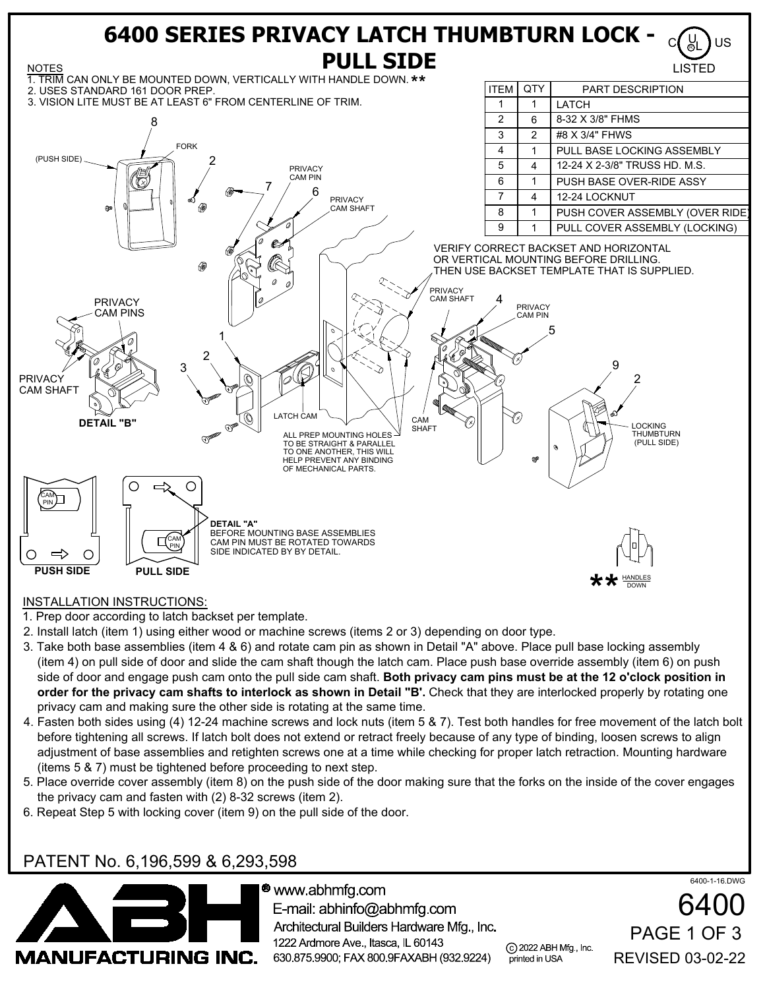

## INSTALLATION INSTRUCTIONS:

1. Prep door according to latch backset per template.

- 2. Install latch (item 1) using either wood or machine screws (items 2 or 3) depending on door type.
- 3. Take both base assemblies (item 4 & 6) and rotate cam pin as shown in Detail "A" above. Place pull base locking assembly (item 4) on pull side of door and slide the cam shaft though the latch cam. Place push base override assembly (item 6) on push side of door and engage push cam onto the pull side cam shaft. **Both privacy cam pins must be at the 12 o'clock position in order for the privacy cam shafts to interlock as shown in Detail "B'.** Check that they are interlocked properly by rotating one privacy cam and making sure the other side is rotating at the same time.
- 4. Fasten both sides using (4) 12-24 machine screws and lock nuts (item 5 & 7). Test both handles for free movement of the latch bolt before tightening all screws. If latch bolt does not extend or retract freely because of any type of binding, loosen screws to align adjustment of base assemblies and retighten screws one at a time while checking for proper latch retraction. Mounting hardware (items 5 & 7) must be tightened before proceeding to next step.
- 5. Place override cover assembly (item 8) on the push side of the door making sure that the forks on the inside of the cover engages the privacy cam and fasten with (2) 8-32 screws (item 2).
- 6. Repeat Step 5 with locking cover (item 9) on the pull side of the door.

## PATENT No. 6,196,599 & 6,293,598



 $\bullet$  www.abhmfg.com E-mail: abhinfo@abhmfg.com Architectural Builders Hardware Mfg., Inc. 1222 Ardmore Ave., Itasca, IL 60143 630.875.9900; FAX 800.9FAXABH (932.9224)

c 2022 ABH Mfg., Inc. printed in USA

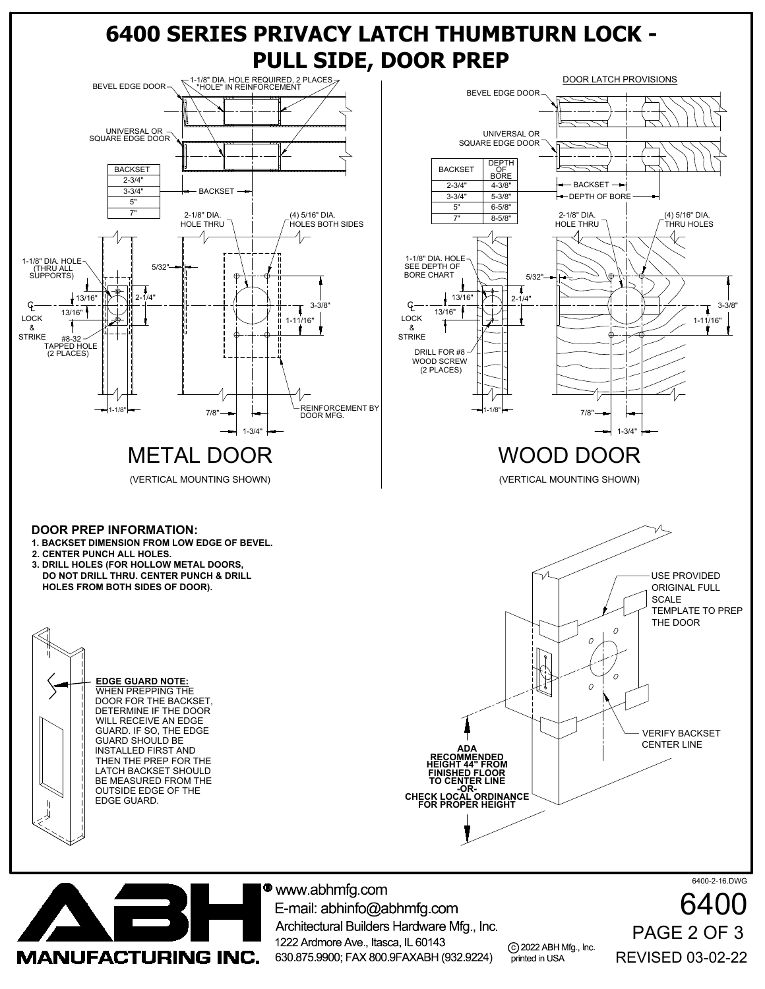

**MANUFACTURING INC.** 

Architectural Builders Hardware Mfg., Inc. 1222 Ardmore Ave., Itasca, IL 60143 630.875.9900; FAX 800.9FAXABH (932.9224)

c 2022 ABH Mfg., Inc. printed in USA

REVISED 03-02-22